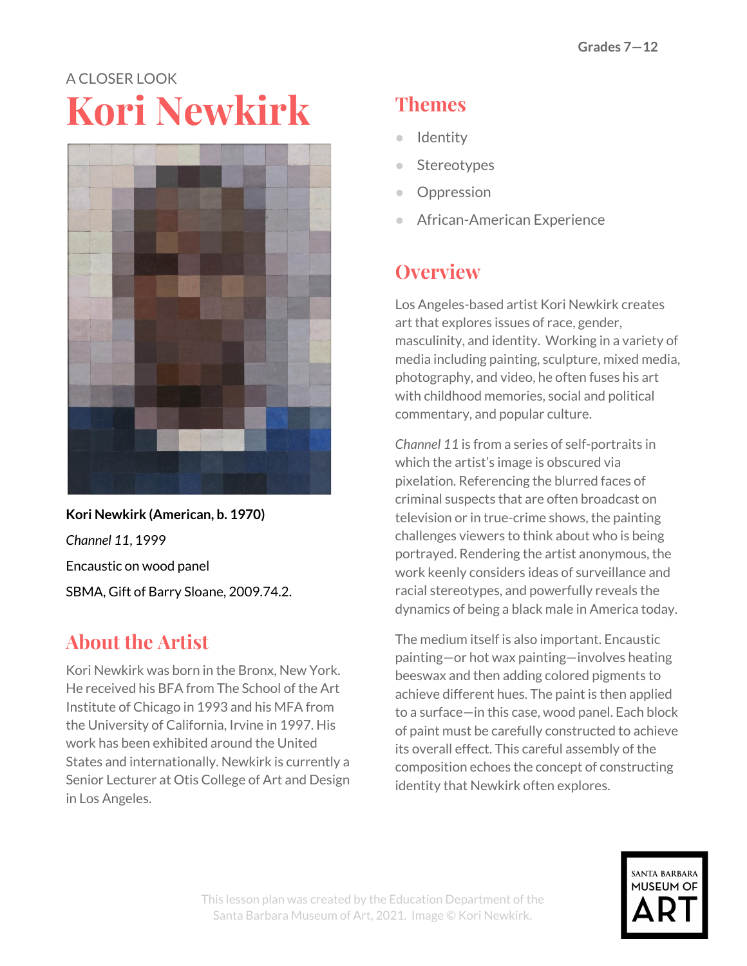# A CLOSER LOOK **Kori Newkirk**



**Kori Newkirk (American, b. 1970)** *Channel 11*, 1999 Encaustic on wood panel SBMA, Gift of Barry Sloane, 2009.74.2.

# **About the Artist**

Kori Newkirk was born in the Bronx, New York. He received his BFA from The School of the Art Institute of Chicago in 1993 and his MFA from the University of California, Irvine in 1997. His work has been exhibited around the United States and internationally. Newkirk is currently a Senior Lecturer at Otis College of Art and Design in Los Angeles.

# **Themes**

- Identity
- Stereotypes
- Oppression
- African-American Experience

#### **Overview**

Los Angeles-based artist Kori Newkirk creates art that explores issues of race, gender, masculinity, and identity. Working in a variety of media including painting, sculpture, mixed media, photography, and video, he often fuses his art with childhood memories, social and political commentary, and popular culture.

*Channel 11* is from a series of self-portraits in which the artist's image is obscured via pixelation. Referencing the blurred faces of criminal suspects that are often broadcast on television or in true-crime shows, the painting challenges viewers to think about who is being portrayed. Rendering the artist anonymous, the work keenly considers ideas of surveillance and racial stereotypes, and powerfully reveals the dynamics of being a black male in America today.

The medium itself is also important. Encaustic painting—or hot wax painting—involves heating beeswax and then adding colored pigments to achieve different hues. The paint is then applied to a surface—in this case, wood panel. Each block of paint must be carefully constructed to achieve its overall effect. This careful assembly of the composition echoes the concept of constructing identity that Newkirk often explores.

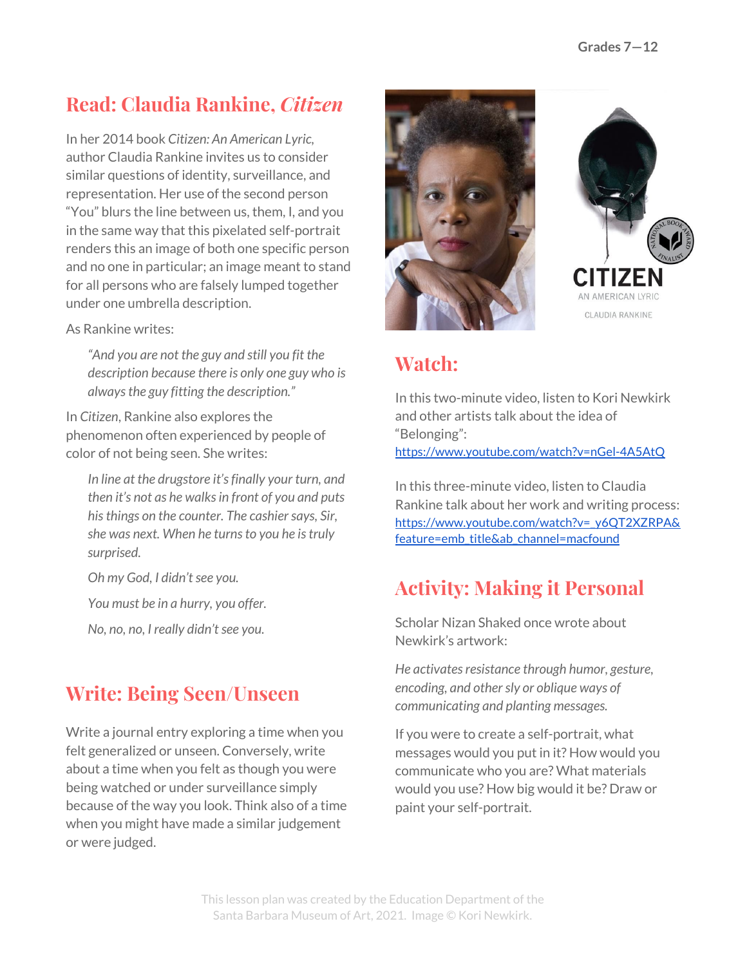### **Read: Claudia Rankine,** *Citizen*

In her 2014 book *Citizen: An American Lyric,* author Claudia Rankine invites us to consider similar questions of identity, surveillance, and representation. Her use of the second person "You" blurs the line between us, them, I, and you in the same way that this pixelated self-portrait renders this an image of both one specific person and no one in particular; an image meant to stand for all persons who are falsely lumped together under one umbrella description.

As Rankine writes:

*"And you are not the guy and still you fit the description because there is only one guy who is alwaysthe guy fitting the description."*

In *Citizen*, Rankine also explores the phenomenon often experienced by people of color of not being seen. She writes:

*In line at the drugstore it'sfinally your turn, and then it's not as he walksin front of you and puts his things on the counter. The cashier says, Sir, she was next. When he turnsto you he istruly surprised.*

*Oh my God, I didn'tsee you.*

*You must be in a hurry, you offer.*

*No, no, no, I really didn'tsee you.*

#### **Write: Being Seen/Unseen**

Write a journal entry exploring a time when you felt generalized or unseen. Conversely, write about a time when you felt as though you were being watched or under surveillance simply because of the way you look. Think also of a time when you might have made a similar judgement or were judged.



AN AMERICAN LYRIC CLAUDIA RANKINE

### **Watch:**

In this two-minute video, listen to Kori Newkirk and other artists talk about the idea of "Belonging": <https://www.youtube.com/watch?v=nGel-4A5AtQ>

In this three-minute video, listen to Claudia Rankine talk about her work and writing process: [https://www.youtube.com/watch?v=\\_y6QT2XZRPA&](https://www.youtube.com/watch?v=_y6QT2XZRPA&feature=emb_title&ab_channel=macfound) [feature=emb\\_title&ab\\_channel=macfound](https://www.youtube.com/watch?v=_y6QT2XZRPA&feature=emb_title&ab_channel=macfound)

#### **Activity: Making it Personal**

Scholar Nizan Shaked once wrote about Newkirk's artwork:

*He activatesresistance through humor, gesture, encoding, and othersly or oblique ways of communicating and planting messages.*

If you were to create a self-portrait, what messages would you put in it? How would you communicate who you are? What materials would you use? How big would it be? Draw or paint your self-portrait.